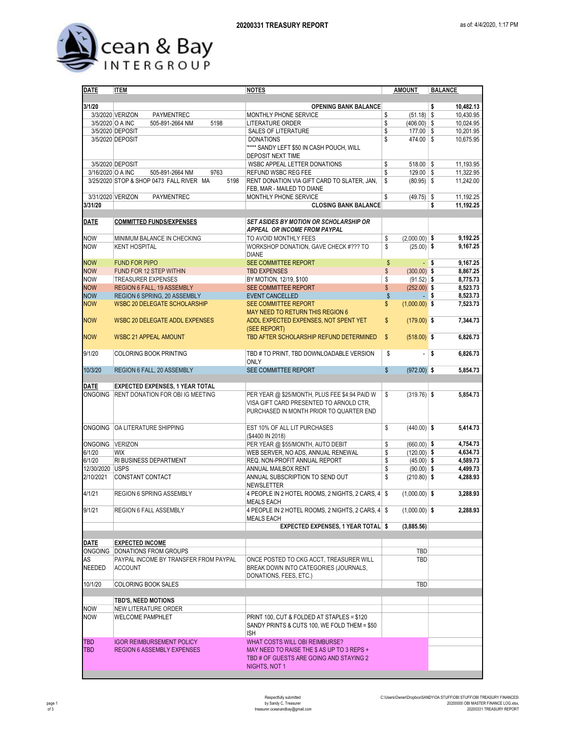

| <b>DATE</b>       | <b>ITEM</b>                                      | <b>NOTES</b>                                      | <b>AMOUNT</b>                  | <b>BALANCE</b>       |
|-------------------|--------------------------------------------------|---------------------------------------------------|--------------------------------|----------------------|
| 3/1/20            |                                                  |                                                   |                                |                      |
|                   |                                                  | <b>OPENING BANK BALANCE</b>                       |                                | \$<br>10,482.13      |
|                   | 3/3/2020 VERIZON<br><b>PAYMENTREC</b>            | MONTHLY PHONE SERVICE                             | $(51.18)$ \$<br>\$             | 10,430.95            |
|                   | 3/5/2020 O A INC<br>5198<br>505-891-2664 NM      | LITERATURE ORDER                                  | \$<br>$(406.00)$ \$            | 10,024.95            |
|                   | 3/5/2020 DEPOSIT                                 | SALES OF LITERATURE                               | \$<br>177.00 \$                | 10,201.95            |
|                   | 3/5/2020 DEPOSIT                                 | <b>DONATIONS</b>                                  | \$<br>474.00 \$                | 10,675.95            |
|                   |                                                  | "**** SANDY LEFT \$50 IN CASH POUCH, WILL         |                                |                      |
|                   |                                                  | DEPOSIT NEXT TIME                                 |                                |                      |
|                   | 3/5/2020 DEPOSIT                                 | WSBC APPEAL LETTER DONATIONS                      | \$<br>$518.00$ \\$             | 11,193.95            |
| 3/16/2020 O A INC | 505-891-2664 NM<br>9763                          | REFUND WSBC REG FEE                               | \$<br>$129.00$ \$              | 11,322.95            |
|                   | 3/25/2020 STOP & SHOP 0473 FALL RIVER MA<br>5198 | RENT DONATION VIA GIFT CARD TO SLATER, JAN,       | \$<br>$(80.95)$ \$             | 11,242.00            |
|                   |                                                  | FEB. MAR - MAILED TO DIANE                        |                                |                      |
|                   | 3/31/2020 VERIZON<br>PAYMENTREC                  | MONTHLY PHONE SERVICE                             | S<br>$(49.75)$ \$              | 11,192.25            |
| 3/31/20           |                                                  | <b>CLOSING BANK BALANCE</b>                       |                                | \$<br>11,192.25      |
|                   |                                                  |                                                   |                                |                      |
| <b>DATE</b>       | <b>COMMITTED FUNDS/EXPENSES</b>                  | <b>SET ASIDES BY MOTION OR SCHOLARSHIP OR</b>     |                                |                      |
|                   |                                                  | APPEAL OR INCOME FROM PAYPAL                      |                                |                      |
|                   |                                                  |                                                   |                                |                      |
| <b>NOW</b>        | MINIMUM BALANCE IN CHECKING                      | TO AVOID MONTHLY FEES                             | $(2,000.00)$ \$<br>\$          | 9,192.25             |
| <b>NOW</b>        | <b>KENT HOSPITAL</b>                             | WORKSHOP DONATION, GAVE CHECK #??? TO             | \$<br>$(25.00)$ \$             | 9,167.25             |
|                   |                                                  | <b>DIANE</b>                                      |                                |                      |
| <b>NOW</b>        | <b>FUND FOR PI/PO</b>                            | SEE COMMITTEE REPORT                              | \$                             | 9,167.25<br>- \$     |
| <b>NOW</b>        | FUND FOR 12 STEP WITHIN                          | <b>TBD EXPENSES</b>                               | \$<br>$(300.00)$ \$            | 8,867.25             |
| <b>NOW</b>        | <b>TREASURER EXPENSES</b>                        | BY MOTION, 12/19, \$100                           | \$<br>$(91.52)$ \$             | 8,775.73             |
| <b>NOW</b>        | <b>REGION 6 FALL, 19 ASSEMBLY</b>                | SEE COMMITTEE REPORT                              | \$<br>$(252.00)$ \$            | 8,523.73             |
| <b>NOW</b>        | REGION 6 SPRING, 20 ASSEMBLY                     | <b>EVENT CANCELLED</b>                            | \$                             | 8,523.73<br>∣\$      |
| <b>NOW</b>        | <b>WSBC 20 DELEGATE SCHOLARSHIP</b>              | <b>SEE COMMITTEE REPORT</b>                       | \$<br>$(1,000.00)$ \$          | 7,523.73             |
|                   |                                                  | MAY NEED TO RETURN THIS REGION 6                  |                                |                      |
| <b>NOW</b>        | <b>WSBC 20 DELEGATE ADDL EXPENSES</b>            | ADDL EXPECTED EXPENSES, NOT SPENT YET             | \$<br>$(179.00)$ \$            | 7,344.73             |
|                   |                                                  | (SEE REPORT)                                      |                                |                      |
|                   |                                                  |                                                   |                                | 6,826.73             |
| <b>NOW</b>        | <b>WSBC 21 APPEAL AMOUNT</b>                     | TBD AFTER SCHOLARSHIP REFUND DETERMINED           | \$<br>$(518.00)$ \$            |                      |
|                   |                                                  |                                                   |                                |                      |
| 9/1/20            | COLORING BOOK PRINTING                           | TBD # TO PRINT, TBD DOWNLOADABLE VERSION          | \$<br>$\overline{a}$           | <b>S</b><br>6.826.73 |
|                   |                                                  | <b>ONLY</b>                                       |                                |                      |
| 10/3/20           | REGION 6 FALL, 20 ASSEMBLY                       | SEE COMMITTEE REPORT                              | $\mathsf{\$}$<br>$(972.00)$ \$ | 5,854.73             |
|                   |                                                  |                                                   |                                |                      |
| <b>DATE</b>       | <b>EXPECTED EXPENSES, 1 YEAR TOTAL</b>           |                                                   |                                |                      |
| <b>ONGOING</b>    | <b>RENT DONATION FOR OBI IG MEETING</b>          | PER YEAR @ \$25/MONTH, PLUS FEE \$4.94 PAID W     | \$<br>$(319.76)$ \$            | 5,854.73             |
|                   |                                                  | VISA GIFT CARD PRESENTED TO ARNOLD CTR,           |                                |                      |
|                   |                                                  | PURCHASED IN MONTH PRIOR TO QUARTER END           |                                |                      |
|                   |                                                  |                                                   |                                |                      |
|                   | ONGOING OA LITERATURE SHIPPING                   | EST 10% OF ALL LIT PURCHASES                      | \$<br>$(440.00)$ \$            | 5,414.73             |
|                   |                                                  | (\$4400 IN 2018)                                  |                                |                      |
| ONGOING VERIZON   |                                                  | PER YEAR @ \$55/MONTH, AUTO DEBIT                 | \$<br>$(660.00)$ \$            | 4.754.73             |
| 6/1/20            | <b>WIX</b>                                       | WEB SERVER, NO ADS, ANNUAL RENEWAL                | \$<br>$(120.00)$ \$            | 4.634.73             |
| 6/1/20            | RI BUSINESS DEPARTMENT                           | REQ. NON-PROFIT ANNUAL REPORT                     | \$<br>$(45.00)$ \$             | 4,589.73             |
|                   |                                                  |                                                   |                                |                      |
| 12/30/2020 USPS   |                                                  | ANNUAL MAILBOX RENT                               | \$<br>$(90.00)$ \$             | 4,499.73             |
| 2/10/2021         | CONSTANT CONTACT                                 | ANNUAL SUBSCRIPTION TO SEND OUT                   | \$<br>$(210.80)$ \$            | 4,288.93             |
|                   |                                                  | <b>NEWSLETTER</b>                                 |                                |                      |
| 4/1/21            | REGION 6 SPRING ASSEMBLY                         | 4 PEOPLE IN 2 HOTEL ROOMS, 2 NIGHTS, 2 CARS, 4 \$ | $(1,000.00)$ \$                | 3.288.93             |
|                   |                                                  | <b>MEALS EACH</b>                                 |                                |                      |
| 9/1/21            | REGION 6 FALL ASSEMBLY                           | 4 PEOPLE IN 2 HOTEL ROOMS, 2 NIGHTS, 2 CARS, 4 \$ | $(1,000.00)$ \$                | 2,288.93             |
|                   |                                                  | <b>MEALS EACH</b>                                 |                                |                      |
|                   |                                                  | <b>EXPECTED EXPENSES, 1 YEAR TOTAL \$</b>         | (3,885.56)                     |                      |
|                   |                                                  |                                                   |                                |                      |
| <b>DATE</b>       | <b>EXPECTED INCOME</b>                           |                                                   |                                |                      |
|                   | ONGOING DONATIONS FROM GROUPS                    |                                                   | TBD                            |                      |
| AS                | PAYPAL INCOME BY TRANSFER FROM PAYPAL            | ONCE POSTED TO CKG ACCT, TREASURER WILL           | TBD                            |                      |
| NEEDED            | <b>ACCOUNT</b>                                   | BREAK DOWN INTO CATEGORIES (JOURNALS,             |                                |                      |
|                   |                                                  | DONATIONS, FEES, ETC.)                            |                                |                      |
| 10/1/20           | COLORING BOOK SALES                              |                                                   | TBD                            |                      |
|                   |                                                  |                                                   |                                |                      |
|                   |                                                  |                                                   |                                |                      |
|                   | <b>TBD'S, NEED MOTIONS</b>                       |                                                   |                                |                      |
| NOW               | NEW LITERATURE ORDER                             |                                                   |                                |                      |
| <b>NOW</b>        | <b>WELCOME PAMPHLET</b>                          | PRINT 100, CUT & FOLDED AT STAPLES = \$120        |                                |                      |
|                   |                                                  | SANDY PRINTS & CUTS 100, WE FOLD THEM = \$50      |                                |                      |
|                   |                                                  | <b>ISH</b>                                        |                                |                      |
| <b>TBD</b>        | <b>IGOR REIMBURSEMENT POLICY</b>                 | WHAT COSTS WILL OBI REIMBURSE?                    |                                |                      |
| <b>TBD</b>        | <b>REGION 6 ASSEMBLY EXPENSES</b>                | MAY NEED TO RAISE THE \$ AS UP TO 3 REPS +        |                                |                      |
|                   |                                                  | TBD # OF GUESTS ARE GOING AND STAYING 2           |                                |                      |
|                   |                                                  | NIGHTS, NOT 1                                     |                                |                      |
|                   |                                                  |                                                   |                                |                      |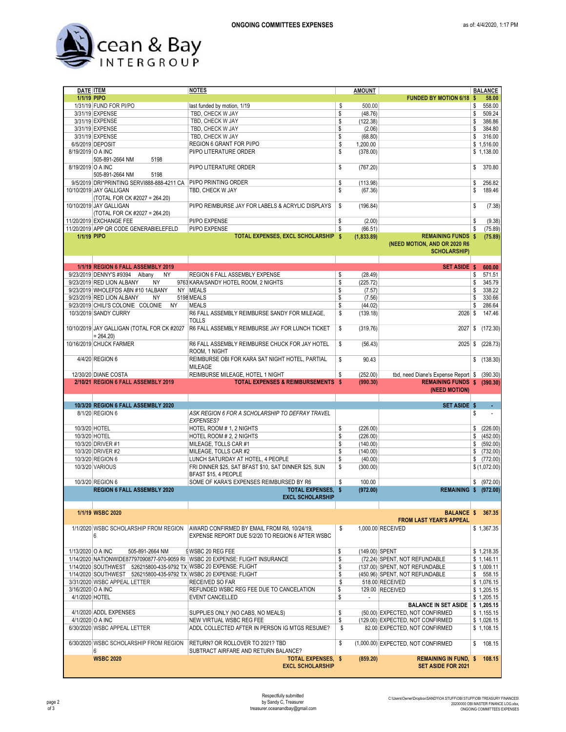

| 1/1/19 PIPO       |                                                                   | <b>NOTES</b>                                                                  |    | <b>AMOUNT</b>            |                                                           |    | <b>BALANCE</b> |
|-------------------|-------------------------------------------------------------------|-------------------------------------------------------------------------------|----|--------------------------|-----------------------------------------------------------|----|----------------|
|                   | DATE <b>ITEM</b>                                                  |                                                                               |    |                          | <b>FUNDED BY MOTION 6/18</b>                              | -S | 58.00          |
|                   |                                                                   |                                                                               |    |                          |                                                           |    |                |
|                   | 1/31/19 FUND FOR PI/PO                                            | last funded by motion, 1/19                                                   | \$ | 500.00                   |                                                           | \$ | 558.00         |
|                   | 3/31/19 EXPENSE                                                   | TBD, CHECK W JAY                                                              | \$ | (48.76)                  |                                                           | \$ | 509.24         |
|                   | 3/31/19 EXPENSE                                                   | TBD, CHECK W JAY                                                              | \$ | (122.38)                 |                                                           | \$ | 386.86         |
|                   | 3/31/19 EXPENSE                                                   | TBD, CHECK W JAY                                                              | \$ | (2.06)                   |                                                           | \$ | 384.80         |
|                   | 3/31/19 EXPENSE                                                   | TBD, CHECK W JAY                                                              | \$ | (68.80)                  |                                                           | \$ | 316.00         |
|                   | 6/5/2019 DEPOSIT                                                  | REGION 6 GRANT FOR PI/PO                                                      | \$ | 1,200.00                 |                                                           |    | \$1.516.00     |
| 8/19/2019 O A INC |                                                                   | PI/PO LITERATURE ORDER                                                        | \$ |                          |                                                           |    |                |
|                   |                                                                   |                                                                               |    | (378.00)                 |                                                           |    | \$1,138.00     |
|                   | 505-891-2664 NM<br>5198                                           |                                                                               |    |                          |                                                           |    |                |
| 8/19/2019 O A INC |                                                                   | PI/PO LITERATURE ORDER                                                        | \$ | (767.20)                 |                                                           | \$ | 370.80         |
|                   | 505-891-2664 NM<br>5198                                           |                                                                               |    |                          |                                                           |    |                |
|                   | 9/5/2019 DRI*PRINTING SERVI888-888-4211 CA                        | PI/PO PRINTING ORDER                                                          | \$ | (113.98)                 |                                                           | \$ | 256.82         |
|                   | 10/10/2019 JAY GALLIGAN                                           | TBD, CHECK W JAY                                                              | \$ | (67.36)                  |                                                           | \$ | 189.46         |
|                   |                                                                   |                                                                               |    |                          |                                                           |    |                |
|                   | (TOTAL FOR CK #2027 = 264.20)                                     |                                                                               |    |                          |                                                           |    |                |
|                   | 10/10/2019 JAY GALLIGAN                                           | PI/PO REIMBURSE JAY FOR LABELS & ACRYLIC DISPLAYS                             | \$ | (196.84)                 |                                                           | \$ | (7.38)         |
|                   | (TOTAL FOR CK #2027 = 264.20)                                     |                                                                               |    |                          |                                                           |    |                |
|                   | 11/20/2019 EXCHANGE FEE                                           | PI/PO EXPENSE                                                                 | \$ | (2.00)                   |                                                           | \$ | (9.38)         |
|                   | 11/20/2019 APP QR CODE GENERABIELEFELD                            | PI/PO EXPENSE                                                                 | S  | (66.51)                  |                                                           | \$ | (75.89)        |
| 1/1/19 PIPO       |                                                                   | TOTAL EXPENSES, EXCL SCHOLARSHIP \$                                           |    | (1,833.89)               | <b>REMAINING FUNDS \$</b>                                 |    | (75.89)        |
|                   |                                                                   |                                                                               |    |                          | (NEED MOTION, AND OR 2020 R6                              |    |                |
|                   |                                                                   |                                                                               |    |                          | <b>SCHOLARSHIP)</b>                                       |    |                |
|                   |                                                                   |                                                                               |    |                          |                                                           |    |                |
|                   |                                                                   |                                                                               |    |                          |                                                           |    |                |
|                   | 1/1/19 REGION 6 FALL ASSEMBLY 2019                                |                                                                               |    |                          | <b>SET ASIDE \$</b>                                       |    | 600.00         |
|                   | 9/23/2019 DENNY'S #9394 Albany<br><b>NY</b>                       | REGION 6 FALL ASSEMBLY EXPENSE                                                | \$ | (28.49)                  |                                                           | \$ | 571.51         |
|                   | 9/23/2019 RED LION ALBANY<br><b>NY</b>                            | 9763 KARA/SANDY HOTEL ROOM, 2 NIGHTS                                          | \$ | (225.72)                 |                                                           | \$ | 345.79         |
|                   | 9/23/2019 WHOLEFDS ABN #10 1ALBANY                                | NY MEALS                                                                      | \$ | (7.57)                   |                                                           | \$ | 338.22         |
|                   | 9/23/2019 RED LION ALBANY<br>NY                                   | 5198 MEALS                                                                    | \$ | (7.56)                   |                                                           | \$ | 330.66         |
|                   | 9/23/2019 CHILI'S COLONIE COLONIE<br><b>NY</b>                    | <b>MEALS</b>                                                                  | \$ |                          |                                                           | \$ | 286.64         |
|                   |                                                                   |                                                                               |    | (44.02)                  |                                                           |    |                |
|                   | 10/3/2019 SANDY CURRY                                             | R6 FALL ASSEMBLY REIMBURSE SANDY FOR MILEAGE,                                 | \$ | (139.18)                 | $2026$ \$                                                 |    | 147.46         |
|                   |                                                                   | <b>TOLLS</b>                                                                  |    |                          |                                                           |    |                |
|                   | 10/10/2019 JAY GALLIGAN (TOTAL FOR CK #2027                       | R6 FALL ASSEMBLY REIMBURSE JAY FOR LUNCH TICKET                               | \$ | (319.76)                 | 2027                                                      | \$ | (172.30)       |
|                   | $= 264.20$                                                        |                                                                               |    |                          |                                                           |    |                |
|                   | 10/16/2019 CHUCK FARMER                                           | R6 FALL ASSEMBLY REIMBURSE CHUCK FOR JAY HOTEL                                | \$ | (56.43)                  | 2025                                                      | \$ | (228.73)       |
|                   |                                                                   |                                                                               |    |                          |                                                           |    |                |
|                   |                                                                   | ROOM, 1 NIGHT                                                                 |    |                          |                                                           |    |                |
|                   | 4/4/20 REGION 6                                                   | REIMBURSE OBI FOR KARA SAT NIGHT HOTEL, PARTIAL                               | \$ | 90.43                    |                                                           | \$ | (138.30)       |
|                   |                                                                   | MILEAGE                                                                       |    |                          |                                                           |    |                |
|                   | 12/30/20 DIANE COSTA                                              | REIMBURSE MILEAGE, HOTEL 1 NIGHT                                              | \$ | (252.00)                 | tbd, need Diane's Expense Report \$                       |    | (390.30)       |
|                   |                                                                   |                                                                               |    |                          |                                                           |    |                |
|                   | 2/10/21 REGION 6 FALL ASSEMBLY 2019                               | <b>TOTAL EXPENSES &amp; REIMBURSEMENTS \$</b>                                 |    | (990.30)                 | REMAINING FUNDS \$ (390.30)                               |    |                |
|                   |                                                                   |                                                                               |    |                          | (NEED MOTION)                                             |    |                |
|                   |                                                                   |                                                                               |    |                          |                                                           |    |                |
|                   |                                                                   |                                                                               |    |                          |                                                           |    |                |
|                   | 10/3/20 REGION 6 FALL ASSEMBLY 2020                               |                                                                               |    |                          | <b>SET ASIDE \$</b>                                       |    |                |
|                   | 8/1/20 REGION 6                                                   | ASK REGION 6 FOR A SCHOLARSHIP TO DEFRAY TRAVEL                               |    |                          |                                                           | \$ | $\blacksquare$ |
|                   |                                                                   | <b>EXPENSES?</b>                                                              |    |                          |                                                           |    |                |
| 10/3/20 HOTEL     |                                                                   | HOTEL ROOM # 1, 2 NIGHTS                                                      | \$ | (226.00)                 |                                                           | \$ | (226.00)       |
| 10/3/20 HOTEL     |                                                                   | HOTEL ROOM # 2, 2 NIGHTS                                                      | \$ | (226.00)                 |                                                           | \$ | (452.00)       |
|                   | 10/3/20 DRIVER #1                                                 | MILEAGE, TOLLS CAR #1                                                         | \$ | (140.00)                 |                                                           | \$ | (592.00)       |
|                   |                                                                   |                                                                               |    |                          |                                                           |    |                |
|                   | 10/3/20 DRIVER #2                                                 | MILEAGE, TOLLS CAR #2                                                         | \$ | (140.00)                 |                                                           | \$ | (732.00)       |
|                   | 10/3/20 REGION 6                                                  | LUNCH SATURDAY AT HOTEL, 4 PEOPLE                                             | S  | (40.00)                  |                                                           | \$ | (772.00)       |
|                   | 10/3/20 VARIOUS                                                   | FRI DINNER \$25, SAT BFAST \$10, SAT DINNER \$25, SUN                         | \$ | (300.00)                 |                                                           |    | \$(1,072.00)   |
|                   |                                                                   | BFAST \$15.4 PEOPLE                                                           |    |                          |                                                           |    |                |
|                   | 10/3/20 REGION 6                                                  | SOME OF KARA'S EXPENSES REIMBURSED BY R6                                      | \$ | 100.00                   |                                                           |    | \$ (972.00)    |
|                   | REGION 6 FALL ASSEMBLY 2020                                       | <b>TOTAL EXPENSES. \$</b>                                                     |    | (972.00)                 | <b>REMAINING \$ (972.00)</b>                              |    |                |
|                   |                                                                   | <b>FXCL SCHOLARSHIP</b>                                                       |    |                          |                                                           |    |                |
|                   |                                                                   |                                                                               |    |                          |                                                           |    |                |
|                   | 1/1/19 WSBC 2020                                                  |                                                                               |    |                          | <b>BALANCE \$</b>                                         |    | 367.35         |
|                   |                                                                   |                                                                               |    |                          | <b>FROM LAST YEAR'S APPEAL</b>                            |    |                |
|                   |                                                                   |                                                                               |    |                          |                                                           |    |                |
|                   | 1/1/2020 WSBC SCHOLARSHIP FROM REGION                             | AWARD CONFIRMED BY EMAIL FROM R6, 10/24/19,                                   | \$ |                          | 1,000.00 RECEIVED                                         |    | \$1,367.35     |
|                   | 6                                                                 | EXPENSE REPORT DUE 5/2/20 TO REGION 6 AFTER WSBC                              |    |                          |                                                           |    |                |
|                   |                                                                   |                                                                               |    |                          |                                                           |    |                |
| 1/13/2020 O A INC | 505-891-2664 NM                                                   | SWSBC 20 REG FEE                                                              | \$ | (149.00) SPENT           |                                                           |    | \$1,218.35     |
|                   |                                                                   | 1/14/2020 NATIONWIDE87797090877-970-9059 RI WSBC 20 EXPENSE: FLIGHT INSURANCE | \$ |                          | (72.24) SPENT, NOT REFUNDABLE                             |    | \$1,146.11     |
|                   | 1/14/2020 SOUTHWEST 526215800-435-9792 TX WSBC 20 EXPENSE: FLIGHT |                                                                               | \$ |                          | (137.00) SPENT, NOT REFUNDABLE                            |    | \$1,009.11     |
|                   | 1/14/2020 SOUTHWEST 526215800-435-9792 TX WSBC 20 EXPENSE: FLIGHT |                                                                               | \$ |                          | (450.96) SPENT, NOT REFUNDABLE                            | \$ | 558.15         |
|                   |                                                                   |                                                                               |    |                          |                                                           |    |                |
|                   | 3/31/2020 WSBC APPEAL LETTER                                      | RECEIVED SO FAR                                                               | \$ |                          | 518.00 RECEIVED                                           |    | \$1,076.15     |
| 3/16/2020 O A INC |                                                                   | REFUNDED WSBC REG FEE DUE TO CANCELATION                                      | \$ |                          | 129.00 RECEIVED                                           |    | \$1,205.15     |
| 4/1/2020 HOTEL    |                                                                   | EVENT CANCELLED                                                               | \$ | $\overline{\phantom{a}}$ |                                                           |    | \$1,205.15     |
|                   |                                                                   |                                                                               |    |                          | <b>BALANCE IN SET ASIDE</b>                               |    | \$1,205.15     |
|                   | 4/1/2020 ADDL EXPENSES                                            | SUPPLIES ONLY (NO CABS, NO MEALS)                                             | \$ |                          | (50.00) EXPECTED, NOT CONFIRMED                           |    | \$1,155.15     |
| 4/1/2020 O A INC  |                                                                   | NEW VIRTUAL WSBC REG FEE                                                      | \$ |                          | (129.00) EXPECTED, NOT CONFIRMED                          |    | \$1,026.15     |
|                   |                                                                   |                                                                               |    |                          |                                                           |    |                |
|                   | 6/30/2020 WSBC APPEAL LETTER                                      | ADDL COLLECTED AFTER IN PERSON IG MTGS RESUME?                                | \$ |                          | 82.00 EXPECTED, NOT CONFIRMED                             |    | \$1,108.15     |
|                   |                                                                   |                                                                               |    |                          |                                                           |    |                |
|                   | 6/30/2020 WSBC SCHOLARSHIP FROM REGION                            | RETURN? OR ROLLOVER TO 2021? TBD                                              | \$ |                          | (1,000.00) EXPECTED, NOT CONFIRMED                        | \$ | 108.15         |
|                   | 6                                                                 | SUBTRACT AIRFARE AND RETURN BALANCE?                                          |    |                          |                                                           |    |                |
|                   | <b>WSBC 2020</b>                                                  | TOTAL EXPENSES, \$<br><b>EXCL SCHOLARSHIP</b>                                 |    | (859.20)                 | <b>REMAINING IN FUND, \$</b><br><b>SET ASIDE FOR 2021</b> |    | 108.15         |